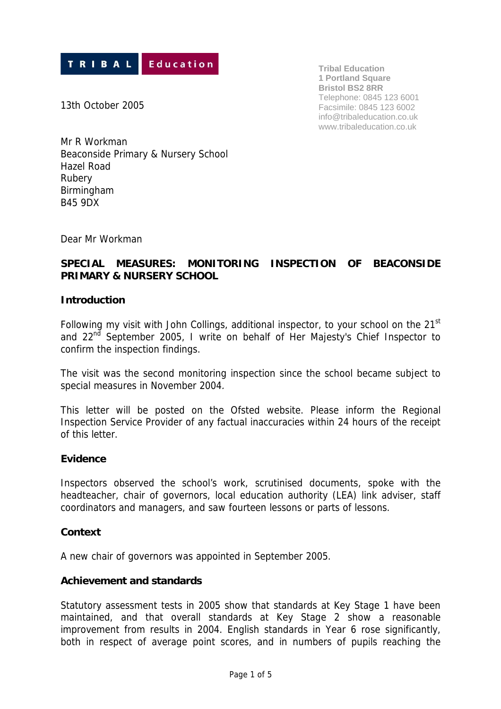

**Tribal Education 1 Portland Square Bristol BS2 8RR** Telephone: 0845 123 6001 Facsimile: 0845 123 6002 info@tribaleducation.co.uk www.tribaleducation.co.uk

13th October 2005

Mr R Workman Beaconside Primary & Nursery School Hazel Road Rubery Birmingham B45 9DX

Dear Mr Workman

# **SPECIAL MEASURES: MONITORING INSPECTION OF BEACONSIDE PRIMARY & NURSERY SCHOOL**

### **Introduction**

Following my visit with John Collings, additional inspector, to your school on the  $21<sup>st</sup>$ and 22<sup>nd</sup> September 2005. I write on behalf of Her Majesty's Chief Inspector to confirm the inspection findings.

The visit was the second monitoring inspection since the school became subject to special measures in November 2004.

This letter will be posted on the Ofsted website. Please inform the Regional Inspection Service Provider of any factual inaccuracies within 24 hours of the receipt of this letter.

#### **Evidence**

Inspectors observed the school's work, scrutinised documents, spoke with the headteacher, chair of governors, local education authority (LEA) link adviser, staff coordinators and managers, and saw fourteen lessons or parts of lessons.

### **Context**

A new chair of governors was appointed in September 2005.

#### **Achievement and standards**

Statutory assessment tests in 2005 show that standards at Key Stage 1 have been maintained, and that overall standards at Key Stage 2 show a reasonable improvement from results in 2004. English standards in Year 6 rose significantly, both in respect of average point scores, and in numbers of pupils reaching the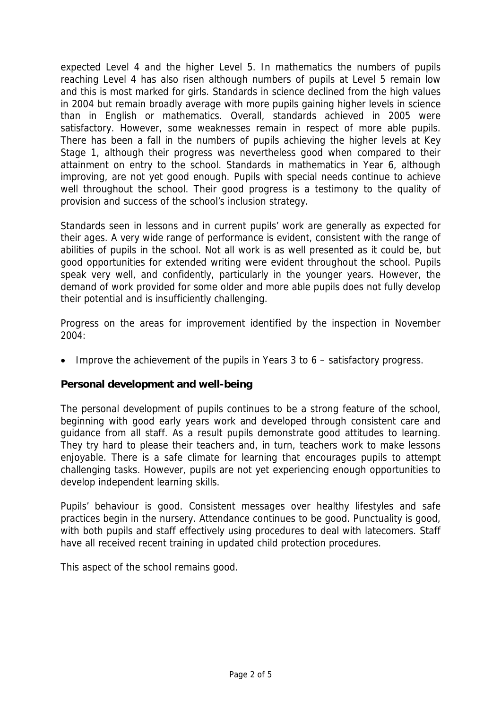expected Level 4 and the higher Level 5. In mathematics the numbers of pupils reaching Level 4 has also risen although numbers of pupils at Level 5 remain low and this is most marked for girls. Standards in science declined from the high values in 2004 but remain broadly average with more pupils gaining higher levels in science than in English or mathematics. Overall, standards achieved in 2005 were satisfactory. However, some weaknesses remain in respect of more able pupils. There has been a fall in the numbers of pupils achieving the higher levels at Key Stage 1, although their progress was nevertheless good when compared to their attainment on entry to the school. Standards in mathematics in Year 6, although improving, are not yet good enough. Pupils with special needs continue to achieve well throughout the school. Their good progress is a testimony to the quality of provision and success of the school's inclusion strategy.

Standards seen in lessons and in current pupils' work are generally as expected for their ages. A very wide range of performance is evident, consistent with the range of abilities of pupils in the school. Not all work is as well presented as it could be, but good opportunities for extended writing were evident throughout the school. Pupils speak very well, and confidently, particularly in the younger years. However, the demand of work provided for some older and more able pupils does not fully develop their potential and is insufficiently challenging.

Progress on the areas for improvement identified by the inspection in November 2004:

• Improve the achievement of the pupils in Years 3 to 6 – satisfactory progress.

### **Personal development and well-being**

The personal development of pupils continues to be a strong feature of the school, beginning with good early years work and developed through consistent care and guidance from all staff. As a result pupils demonstrate good attitudes to learning. They try hard to please their teachers and, in turn, teachers work to make lessons enjoyable. There is a safe climate for learning that encourages pupils to attempt challenging tasks. However, pupils are not yet experiencing enough opportunities to develop independent learning skills.

Pupils' behaviour is good. Consistent messages over healthy lifestyles and safe practices begin in the nursery. Attendance continues to be good. Punctuality is good, with both pupils and staff effectively using procedures to deal with latecomers. Staff have all received recent training in updated child protection procedures.

This aspect of the school remains good.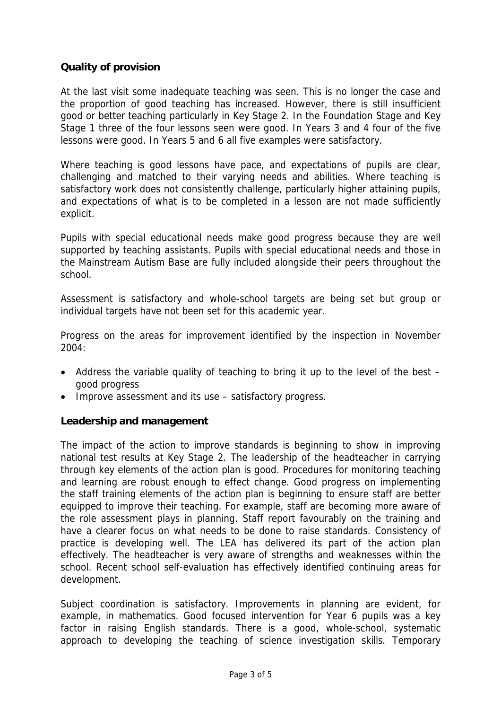## **Quality of provision**

At the last visit some inadequate teaching was seen. This is no longer the case and the proportion of good teaching has increased. However, there is still insufficient good or better teaching particularly in Key Stage 2. In the Foundation Stage and Key Stage 1 three of the four lessons seen were good. In Years 3 and 4 four of the five lessons were good. In Years 5 and 6 all five examples were satisfactory.

Where teaching is good lessons have pace, and expectations of pupils are clear, challenging and matched to their varying needs and abilities. Where teaching is satisfactory work does not consistently challenge, particularly higher attaining pupils, and expectations of what is to be completed in a lesson are not made sufficiently explicit.

Pupils with special educational needs make good progress because they are well supported by teaching assistants. Pupils with special educational needs and those in the Mainstream Autism Base are fully included alongside their peers throughout the school.

Assessment is satisfactory and whole-school targets are being set but group or individual targets have not been set for this academic year.

Progress on the areas for improvement identified by the inspection in November 2004:

- Address the variable quality of teaching to bring it up to the level of the best good progress
- Improve assessment and its use satisfactory progress.

### **Leadership and management**

The impact of the action to improve standards is beginning to show in improving national test results at Key Stage 2. The leadership of the headteacher in carrying through key elements of the action plan is good. Procedures for monitoring teaching and learning are robust enough to effect change. Good progress on implementing the staff training elements of the action plan is beginning to ensure staff are better equipped to improve their teaching. For example, staff are becoming more aware of the role assessment plays in planning. Staff report favourably on the training and have a clearer focus on what needs to be done to raise standards. Consistency of practice is developing well. The LEA has delivered its part of the action plan effectively. The headteacher is very aware of strengths and weaknesses within the school. Recent school self-evaluation has effectively identified continuing areas for development.

Subject coordination is satisfactory. Improvements in planning are evident, for example, in mathematics. Good focused intervention for Year 6 pupils was a key factor in raising English standards. There is a good, whole-school, systematic approach to developing the teaching of science investigation skills. Temporary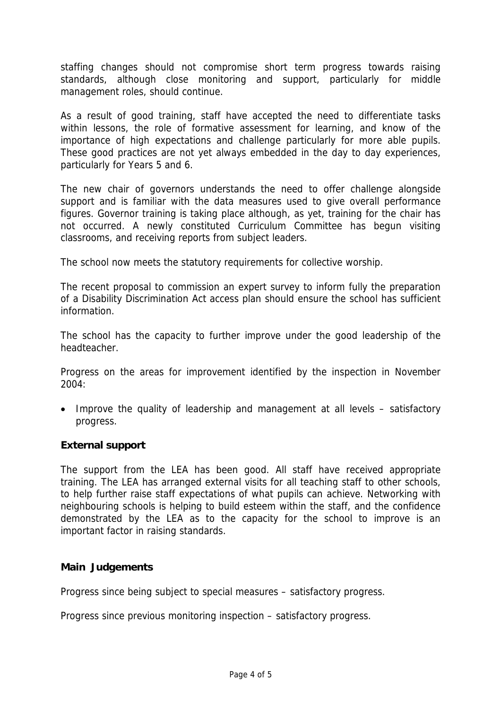staffing changes should not compromise short term progress towards raising standards, although close monitoring and support, particularly for middle management roles, should continue.

As a result of good training, staff have accepted the need to differentiate tasks within lessons, the role of formative assessment for learning, and know of the importance of high expectations and challenge particularly for more able pupils. These good practices are not yet always embedded in the day to day experiences, particularly for Years 5 and 6.

The new chair of governors understands the need to offer challenge alongside support and is familiar with the data measures used to give overall performance figures. Governor training is taking place although, as yet, training for the chair has not occurred. A newly constituted Curriculum Committee has begun visiting classrooms, and receiving reports from subject leaders.

The school now meets the statutory requirements for collective worship.

The recent proposal to commission an expert survey to inform fully the preparation of a Disability Discrimination Act access plan should ensure the school has sufficient information.

The school has the capacity to further improve under the good leadership of the headteacher.

Progress on the areas for improvement identified by the inspection in November  $2004.$ 

• Improve the quality of leadership and management at all levels – satisfactory progress.

### **External support**

The support from the LEA has been good. All staff have received appropriate training. The LEA has arranged external visits for all teaching staff to other schools, to help further raise staff expectations of what pupils can achieve. Networking with neighbouring schools is helping to build esteem within the staff, and the confidence demonstrated by the LEA as to the capacity for the school to improve is an important factor in raising standards.

### **Main Judgements**

Progress since being subject to special measures – satisfactory progress.

Progress since previous monitoring inspection – satisfactory progress.